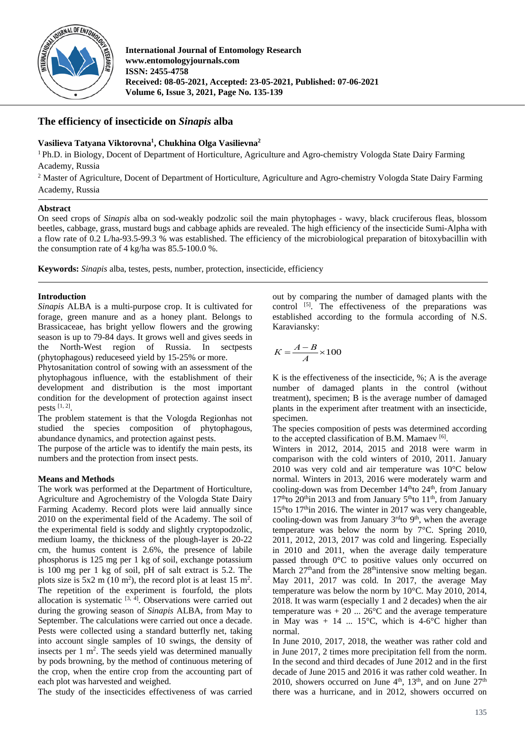

**International Journal of Entomology Research www.entomologyjournals.com ISSN: 2455-4758 Received: 08-05-2021, Accepted: 23-05-2021, Published: 07-06-2021 Volume 6, Issue 3, 2021, Page No. 135-139**

# **The efficiency of insecticide on** *Sinapis* **alba**

## **Vasilieva Tatyana Viktorovna1 , Chukhina Olga Vasilievna2**

<sup>1</sup> Ph.D. in Biology, Docent of Department of Horticulture, Agriculture and Agro-chemistry Vologda State Dairy Farming Academy, Russia

<sup>2</sup> Master of Agriculture, Docent of Department of Horticulture, Agriculture and Agro-chemistry Vologda State Dairy Farming Academy, Russia

## **Abstract**

On seed crops of *Sinapis* alba on sod-weakly podzolic soil the main phytophages - wavy, black cruciferous fleas, blossom beetles, cabbage, grass, mustard bugs and cabbage aphids are revealed. The high efficiency of the insecticide Sumi-Alpha with a flow rate of 0.2 L/ha-93.5-99.3 % was established. The efficiency of the microbiological preparation of bitoxybacillin with the consumption rate of 4 kg/ha was 85.5-100.0 %.

**Keywords:** *Sinapis* alba, testes, pests, number, protection, insecticide, efficiency

# **Introduction**

*Sinapis* ALBA is a multi-purpose crop. It is cultivated for forage, green manure and as a honey plant. Belongs to Brassicaceae, has bright yellow flowers and the growing season is up to 79-84 days. It grows well and gives seeds in the North-West region of Russia. In sectorests the North-West region of Russia. (phytophagous) reduceseed yield by 15-25% or more.

Phytosanitation control of sowing with an assessment of the phytophagous influence, with the establishment of their development and distribution is the most important condition for the development of protection against insect pests [1, 2].

The problem statement is that the Vologda Regionhas not studied the species composition of phytophagous, abundance dynamics, and protection against pests.

The purpose of the article was to identify the main pests, its numbers and the protection from insect pests.

# **Means and Methods**

The work was performed at the Department of Horticulture, Agriculture and Agrochemistry of the Vologda State Dairy Farming Academy. Record plots were laid annually since 2010 on the experimental field of the Academy. The soil of the experimental field is soddy and slightly cryptopodzolic, medium loamy, the thickness of the plough-layer is 20-22 cm, the humus content is 2.6%, the presence of labile phosphorus is 125 mg per 1 kg of soil, exchange potassium is 100 mg per 1 kg of soil, pH of salt extract is 5.2. The plots size is  $5x2 \text{ m } (10 \text{ m}^2)$ , the record plot is at least  $15 \text{ m}^2$ . The repetition of the experiment is fourfold, the plots allocation is systematic  $[3, 4]$ . Observations were carried out during the growing season of *Sinapis* ALBA, from May to September. The calculations were carried out once a decade. Pests were collected using a standard butterfly net, taking into account single samples of 10 swings, the density of insects per  $1 \text{ m}^2$ . The seeds yield was determined manually by pods browning, by the method of continuous metering of the crop, when the entire crop from the accounting part of each plot was harvested and weighed.

The study of the insecticides effectiveness of was carried

out by comparing the number of damaged plants with the control  $^{[5]}$ . The effectiveness of the preparations was established according to the formula according of N.S. Karaviansky:

$$
K = \frac{A - B}{A} \times 100
$$

K is the effectiveness of the insecticide, %; A is the average number of damaged plants in the control (without treatment), specimen; B is the average number of damaged plants in the experiment after treatment with an insecticide, specimen.

The species composition of pests was determined according to the accepted classification of B.M. Mamaev [6].

Winters in 2012, 2014, 2015 and 2018 were warm in comparison with the cold winters of 2010, 2011. January 2010 was very cold and air temperature was 10°C below normal. Winters in 2013, 2016 were moderately warm and cooling-down was from December  $14<sup>th</sup>$  to  $24<sup>th</sup>$ , from January  $17<sup>th</sup>$ to  $20<sup>th</sup>$ in 2013 and from January  $5<sup>th</sup>$ to  $11<sup>th</sup>$ , from January  $15<sup>th</sup>$ to  $17<sup>th</sup>$ in 2016. The winter in 2017 was very changeable, cooling-down was from January  $3<sup>rd</sup>$ to  $9<sup>th</sup>$ , when the average temperature was below the norm by 7°C. Spring 2010, 2011, 2012, 2013, 2017 was cold and lingering. Especially in 2010 and 2011, when the average daily temperature passed through 0°C to positive values only occurred on March  $27<sup>th</sup>$  and from the  $28<sup>th</sup>$  intensive snow melting began. May 2011, 2017 was cold. In 2017, the average May temperature was below the norm by 10°C. May 2010, 2014, 2018. It was warm (especially 1 and 2 decades) when the air temperature was  $+ 20$  ... 26<sup>o</sup>C and the average temperature in May was  $+ 14$  ... 15°C, which is 4-6°C higher than normal.

In June 2010, 2017, 2018, the weather was rather cold and in June 2017, 2 times more precipitation fell from the norm. In the second and third decades of June 2012 and in the first decade of June 2015 and 2016 it was rather cold weather. In 2010, showers occurred on June  $4<sup>th</sup>$ , 13<sup>th</sup>, and on June  $27<sup>th</sup>$ there was a hurricane, and in 2012, showers occurred on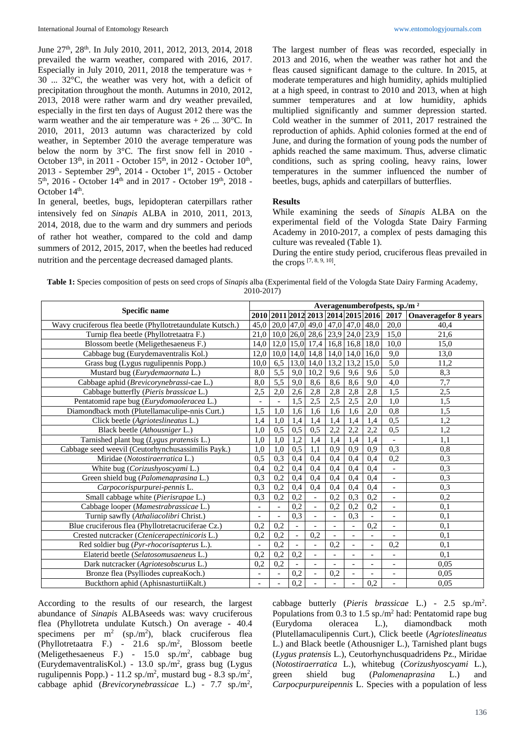June 27th, 28th. In July 2010, 2011, 2012, 2013, 2014, 2018 prevailed the warm weather, compared with 2016, 2017. Especially in July 2010, 2011, 2018 the temperature was + 30 ... 32°C, the weather was very hot, with a deficit of precipitation throughout the month. Autumns in 2010, 2012, 2013, 2018 were rather warm and dry weather prevailed, especially in the first ten days of August 2012 there was the warm weather and the air temperature was  $+ 26$  ... 30 $^{\circ}$ C. In 2010, 2011, 2013 autumn was characterized by cold weather, in September 2010 the average temperature was below the norm by 3°C. The first snow fell in 2010 - October  $13<sup>th</sup>$ , in 2011 - October  $15<sup>th</sup>$ , in 2012 - October  $10<sup>th</sup>$ , 2013 - September 29th, 2014 - October 1st, 2015 - October  $5<sup>th</sup>$ , 2016 - October 14<sup>th</sup> and in 2017 - October 19<sup>th</sup>, 2018 -October 14<sup>th</sup>.

In general, beetles, bugs, lepidopteran caterpillars rather intensively fed on *Sinapis* ALBA in 2010, 2011, 2013, 2014, 2018, due to the warm and dry summers and periods of rather hot weather, compared to the cold and damp summers of 2012, 2015, 2017, when the beetles had reduced nutrition and the percentage decreased damaged plants.

The largest number of fleas was recorded, especially in 2013 and 2016, when the weather was rather hot and the fleas caused significant damage to the culture. In 2015, at moderate temperatures and high humidity, aphids multiplied at a high speed, in contrast to 2010 and 2013, when at high summer temperatures and at low humidity, aphids multiplied significantly and summer depression started. Cold weather in the summer of 2011, 2017 restrained the reproduction of aphids. Aphid colonies formed at the end of June, and during the formation of young pods the number of aphids reached the same maximum. Thus, adverse climatic conditions, such as spring cooling, heavy rains, lower temperatures in the summer influenced the number of beetles, bugs, aphids and caterpillars of butterflies.

#### **Results**

While examining the seeds of *Sinapis* ALBA on the experimental field of the Vologda State Dairy Farming Academy in 2010-2017, a complex of pests damaging this culture was revealed (Table 1).

During the entire study period, cruciferous fleas prevailed in the crops  $[7, 8, 9, 10]$ .

**Table 1:** Species composition of pests on seed crops of *Sinapis* alba (Experimental field of the Vologda State Dairy Farming Academy, 2010-2017)

| <b>Specific name</b>                                       |                          | Averagenumberofpests, sp./m <sup>2</sup> |                          |                          |                |                          |                          |                                         |                             |  |  |  |
|------------------------------------------------------------|--------------------------|------------------------------------------|--------------------------|--------------------------|----------------|--------------------------|--------------------------|-----------------------------------------|-----------------------------|--|--|--|
|                                                            |                          |                                          |                          |                          |                |                          |                          | 2010 2011 2012 2013 2014 2015 2016 2017 | <b>Onaveragefor 8 years</b> |  |  |  |
| Wavy cruciferous flea beetle (Phyllotretaundulate Kutsch.) | 45,0                     | 20,0                                     | 47,0                     | 49,0                     |                |                          | $47,0$ 47,0 48,0         | 20,0                                    | 40,4                        |  |  |  |
| Turnip flea beetle (Phyllotretaatra F.)                    | 21,0                     | 10,0                                     | 26,0                     | 28,6                     | 23,9           | 24,0                     | 23,9                     | 15,0                                    | 21,6                        |  |  |  |
| Blossom beetle (Meligethesaeneus F.)                       | 14.0                     | 12,0                                     | 15,0                     | 17,4                     | 16,8           | 16,8                     | 18,0                     | 10,0                                    | 15,0                        |  |  |  |
| Cabbage bug (Eurydemaventralis Kol.)                       | 12,0                     | 10,0                                     | 14,0                     | 14,8                     | 14,0           | 14,0                     | 16,0                     | 9,0                                     | 13,0                        |  |  |  |
| Grass bug (Lygus rugulipennis Popp.)                       | 10,0                     | 6,5                                      | 13,0                     | 14,0                     | 13,2           | 13,2                     | 15,0                     | 5,0                                     | 11,2                        |  |  |  |
| Mustard bug (Eurydemaornata L.)                            | 8,0                      | $\overline{5,5}$                         | 9,0                      | 10,2                     | 9,6            | 9,6                      | 9,6                      | 5,0                                     | 8,3                         |  |  |  |
| Cabbage aphid (Brevicorynebrassi-cae L.)                   | 8,0                      | 5,5                                      | 9,0                      | 8,6                      | 8,6            | 8,6                      | 9,0                      | $\overline{4,0}$                        | 7,7                         |  |  |  |
| Cabbage butterfly (Pieris brassicae L.)                    | 2,5                      | 2,0                                      | 2,6                      | 2,8                      | 2,8            | 2,8                      | 2,8                      | 1,5                                     | 2,5                         |  |  |  |
| Pentatomid rape bug (Eurydomaoleracea L.)                  | $\overline{\phantom{a}}$ | $\blacksquare$                           | 1,5                      | 2,5                      | 2,5            | 2,5                      | 2,0                      | 1,0                                     | 1,5                         |  |  |  |
| Diamondback moth (Plutellamaculipe-nnis Curt.)             | 1,5                      | 1,0                                      | 1,6                      | 1,6                      | 1,6            | 1,6                      | 2,0                      | 0,8                                     | 1,5                         |  |  |  |
| Click beetle (Agrioteslineatus L.)                         | 1.4                      | 1,0                                      | 1,4                      | 1,4                      | 1,4            | 1,4                      | 1.4                      | 0,5                                     | 1,2                         |  |  |  |
| Black beetle (Athousniger L.)                              | 1.0                      | 0.5                                      | 0,5                      | 0,5                      | 2,2            | 2,2                      | 2,2                      | 0,5                                     | 1,2                         |  |  |  |
| Tarnished plant bug (Lygus pratensis L.)                   | 1.0                      | 1,0                                      | 1,2                      | 1,4                      | 1,4            | 1,4                      | 1,4                      |                                         | 1,1                         |  |  |  |
| Cabbage seed weevil (Ceutorhynchusassimilis Payk.)         | 1.0                      | 1.0                                      | 0,5                      | 1,1                      | 0.9            | 0.9                      | 0.9                      | 0,3                                     | 0,8                         |  |  |  |
| Miridae (Notostiraerratica L.)                             | 0.5                      | 0,3                                      | 0,4                      | 0.4                      | 0,4            | 0,4                      | 0.4                      | 0,2                                     | 0.3                         |  |  |  |
| White bug (Corizushyoscyami L.)                            | 0.4                      | 0,2                                      | 0,4                      | 0,4                      | 0,4            | 0,4                      | 0,4                      | $\overline{\phantom{a}}$                | 0,3                         |  |  |  |
| Green shield bug (Palomenaprasina L.)                      | 0.3                      | 0.2                                      | 0.4                      | 0.4                      | 0.4            | 0.4                      | 0.4                      | $\overline{a}$                          | 0,3                         |  |  |  |
| Carpocorispurpurei-pennis L.                               | 0.3                      | 0,2                                      | 0,4                      | 0,4                      | 0,4            | 0,4                      | 0,4                      | ÷                                       | 0,3                         |  |  |  |
| Small cabbage white (Pierisrapae L.)                       | 0,3                      | 0,2                                      | 0,2                      | $\overline{\phantom{a}}$ | 0,2            | 0,3                      | 0,2                      | $\overline{a}$                          | 0,2                         |  |  |  |
| Cabbage looper (Mamestrabrassicae L.)                      | $\overline{\phantom{a}}$ | $\Box$                                   | 0,2                      | $\overline{\phantom{a}}$ | 0,2            | 0,2                      | 0,2                      | $\overline{a}$                          | 0,1                         |  |  |  |
| Turnip sawfly (Athaliacolibri Christ.)                     | $\overline{\phantom{a}}$ | $\equiv$                                 | 0,3                      | $\overline{\phantom{a}}$ | $\overline{a}$ | 0.3                      | $\overline{a}$           | $\overline{a}$                          | 0,1                         |  |  |  |
| Blue cruciferous flea (Phyllotretacruciferae Cz.)          | 0,2                      | 0,2                                      | $\overline{a}$           |                          | $\overline{a}$ |                          | 0,2                      | $\overline{a}$                          | 0,1                         |  |  |  |
| Crested nutcracker (Ctenicerapectinicoris L.)              | 0.2                      | 0,2                                      | $\blacksquare$           | 0,2                      | $\overline{a}$ | $\overline{\phantom{a}}$ | $\overline{a}$           | $\overline{a}$                          | 0,1                         |  |  |  |
| Red soldier bug (Pyr-rhocorisapterus L.).                  |                          | 0,2                                      | $\overline{\phantom{a}}$ | $\overline{a}$           | 0,2            | $\overline{a}$           | $\overline{a}$           | 0,2                                     | 0,1                         |  |  |  |
| Elaterid beetle (Selatosomusaeneus L.)                     | 0.2                      | 0,2                                      | 0,2                      | $\overline{\phantom{a}}$ | $\overline{a}$ | $\overline{\phantom{a}}$ | $\overline{\phantom{a}}$ | $\overline{a}$                          | 0,1                         |  |  |  |
| Dark nutcracker (Agriotesobscurus L.)                      | 0,2                      | 0.2                                      | $\overline{\phantom{a}}$ | $\overline{\phantom{a}}$ | $\overline{a}$ | $\bar{a}$                | $\overline{\phantom{a}}$ | $\overline{a}$                          | 0.05                        |  |  |  |
| Bronze flea (Psylliodes cupreaKoch.)                       | $\overline{\phantom{a}}$ | $\overline{\phantom{a}}$                 | 0,2                      | $\overline{\phantom{a}}$ | 0,2            | $\overline{a}$           | $\overline{a}$           | $\overline{a}$                          | 0.05                        |  |  |  |
| Buckthorn aphid (AphisnasturtiiKalt.)                      | $\overline{\phantom{a}}$ | $\overline{a}$                           | 0,2                      | $\overline{a}$           |                |                          | 0,2                      |                                         | 0.05                        |  |  |  |

According to the results of our research, the largest abundance of *Sinapis* ALBAseeds was: wavy cruciferous flea (Phyllotreta undulate Kutsch.) On average - 40.4 specimens per  $m^2$  (sp./m<sup>2</sup>), black cruciferous flea (Phyllotretaatra F.) - 21.6 sp./m2 , Blossom beetle (Meligethesaeneus F.) - 15.0 sp./m<sup>2</sup>, cabbage bug (EurydemaventralisKol.) - 13.0 sp./m<sup>2</sup>, grass bug (Lygus rugulipennis Popp.) - 11.2 sp./m<sup>2</sup>, mustard bug - 8.3 sp./m<sup>2</sup>, cabbage aphid (*Brevicorynebrassicae* L.) - 7.7 sp./m2 ,

cabbage butterly (*Pieris brassicae* L.) - 2.5 sp./m2 . Populations from 0.3 to 1.5 sp./m2 had: Pentatomid rape bug (Eurydoma oleracea L.), diamondback moth (Plutellamaculipennis Curt.), Click beetle (*Agrioteslineatus* L.) and Black beetle (Athousniger L.), Tarnished plant bugs (*Lygus pratensis* L.), Ceutorhynchusquadridens Pz., Miridae (*Notostiraerratica* L.), whitebug (*Corizushyoscyami* L.), green shield bug (*Palomenaprasina* L.) and *Carpocpurpureipennis* L. Species with a population of less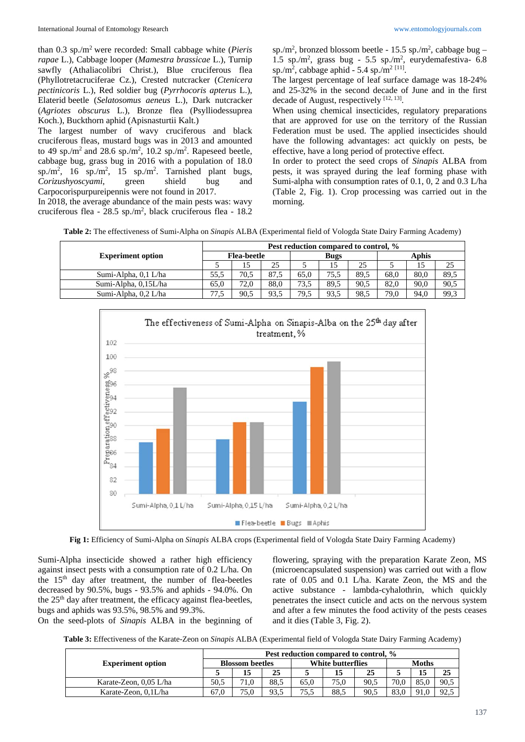than 0.3 sp./m2 were recorded: Small cabbage white (*Pieris rapae* L.), Cabbage looper (*Mamestra brassicae* L.), Turnip sawfly (Athaliacolibri Christ.), Blue cruciferous flea (Phyllotretacruciferae Cz.), Crested nutcracker (*Ctenicera pectinicoris* L.), Red soldier bug (*Pyrrhocoris apterus* L.), Elaterid beetle (*Selatosomus aeneus* L.), Dark nutcracker (*Agriotes obscurus* L.), Bronze flea (Psylliodessuprea Koch.), Buckthorn aphid (Apisnasturtii Kalt.)

The largest number of wavy cruciferous and black cruciferous fleas, mustard bugs was in 2013 and amounted to 49 sp./m<sup>2</sup> and 28.6 sp./m<sup>2</sup>, 10.2 sp./m<sup>2</sup>. Rapeseed beetle, cabbage bug, grass bug in 2016 with a population of 18.0 sp./m<sup>2</sup>, 16 sp./m<sup>2</sup>, 15 sp./m<sup>2</sup>. Tarnished plant bugs, *Corizushyoscyami*, green shield bug and Carpocorispurpureipennis were not found in 2017.

In 2018, the average abundance of the main pests was: wavy cruciferous flea -  $28.5$  sp./m<sup>2</sup>, black cruciferous flea -  $18.2$  sp./m<sup>2</sup>, bronzed blossom beetle -  $15.5$  sp./m<sup>2</sup>, cabbage bug -1.5 sp./m<sup>2</sup>, grass bug - 5.5 sp./m<sup>2</sup>, eurydemafestiva- 6.8 sp./m<sup>2</sup>, cabbage aphid - 5.4 sp./m<sup>2 [11]</sup>.

The largest percentage of leaf surface damage was 18-24% and 25-32% in the second decade of June and in the first decade of August, respectively [12, 13].

When using chemical insecticides, regulatory preparations that are approved for use on the territory of the Russian Federation must be used. The applied insecticides should have the following advantages: act quickly on pests, be effective, have a long period of protective effect.

In order to protect the seed crops of *Sinapis* ALBA from pests, it was sprayed during the leaf forming phase with Sumi-alpha with consumption rates of 0.1, 0, 2 and 0.3 L/ha (Table 2, Fig. 1). Crop processing was carried out in the morning.

**Table 2:** The effectiveness of Sumi-Alpha on *Sinapis* ALBA (Experimental field of Vologda State Dairy Farming Academy)

|                          | Pest reduction compared to control, % |                    |      |      |             |      |       |      |      |  |
|--------------------------|---------------------------------------|--------------------|------|------|-------------|------|-------|------|------|--|
| <b>Experiment option</b> |                                       | <b>Flea-beetle</b> |      |      | <b>Bugs</b> |      | Aphis |      |      |  |
|                          |                                       |                    | 25   |      |             | 25   |       |      | 25   |  |
| Sumi-Alpha, 0.1 L/ha     | 55.5                                  | 70.5               | 87.5 | 65.0 | 75.5        | 89.5 | 68.0  | 80.0 | 89,5 |  |
| Sumi-Alpha, 0.15L/ha     | 65.0                                  | 72.0               | 88.0 | 73.5 | 89.5        | 90.5 | 82.0  | 90.0 | 90,5 |  |
| Sumi-Alpha, 0,2 L/ha     | 77                                    | 90.5               | 93.5 | 79,5 | 93.5        | 98,5 | 79.0  | 94.0 | 99,3 |  |



**Fig 1:** Efficiency of Sumi-Alpha on *Sinapis* ALBA crops (Experimental field of Vologda State Dairy Farming Academy)

Sumi-Alpha insecticide showed a rather high efficiency against insect pests with a consumption rate of 0.2 L/ha. On the 15<sup>th</sup> day after treatment, the number of flea-beetles decreased by 90.5%, bugs - 93.5% and aphids - 94.0%. On the 25<sup>th</sup> day after treatment, the efficacy against flea-beetles, bugs and aphids was 93.5%, 98.5% and 99.3%.

On the seed-plots of *Sinapis* ALBA in the beginning of

flowering, spraying with the preparation Karate Zeon, MS (microencapsulated suspension) was carried out with a flow rate of 0.05 and 0.1 L/ha. Karate Zeon, the MS and the active substance - lambda-cyhalothrin, which quickly penetrates the insect cuticle and acts on the nervous system and after a few minutes the food activity of the pests ceases and it dies (Table 3, Fig. 2).

**Table 3:** Effectiveness of the Karate-Zeon on *Sinapis* ALBA (Experimental field of Vologda State Dairy Farming Academy)

|                          | Pest reduction compared to control. % |                        |      |      |                          |              |      |      |      |  |  |
|--------------------------|---------------------------------------|------------------------|------|------|--------------------------|--------------|------|------|------|--|--|
| <b>Experiment option</b> |                                       | <b>Blossom beetles</b> |      |      | <b>White butterflies</b> | <b>Moths</b> |      |      |      |  |  |
|                          |                                       | 15                     | 25   |      | 15                       | 25           |      | 15   | 25   |  |  |
| Karate-Zeon, 0,05 L/ha   | 50.5                                  | 71.0                   | 88.5 | 65.0 | 75.0                     | 90.5         | 70.0 | 85.0 | 90.5 |  |  |
| Karate-Zeon, 0,1L/ha     | 67.0                                  | 75.0                   | 93.5 | 75.5 | 88.5                     | 90.5         | 83.0 | 91.0 | 92.1 |  |  |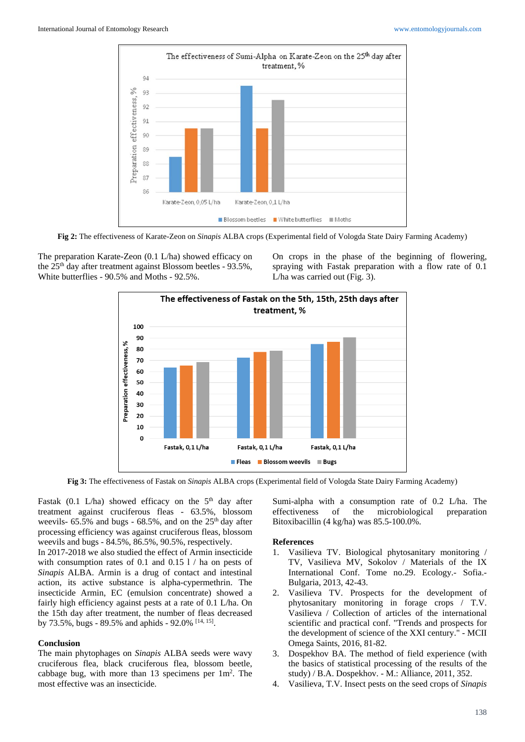

**Fig 2:** The effectiveness of Karate-Zeon on *Sinapis* ALBA crops (Experimental field of Vologda State Dairy Farming Academy)

The preparation Karate-Zeon (0.1 L/ha) showed efficacy on the 25th day after treatment against Blossom beetles - 93.5%, White butterflies - 90.5% and Moths - 92.5%.

On crops in the phase of the beginning of flowering, spraying with Fastak preparation with a flow rate of 0.1 L/ha was carried out (Fig. 3).



**Fig 3:** The effectiveness of Fastak on *Sinapis* ALBA crops (Experimental field of Vologda State Dairy Farming Academy)

Fastak (0.1 L/ha) showed efficacy on the  $5<sup>th</sup>$  day after treatment against cruciferous fleas - 63.5%, blossom weevils-  $65.5\%$  and bugs -  $68.5\%$ , and on the  $25<sup>th</sup>$  day after processing efficiency was against cruciferous fleas, blossom weevils and bugs - 84.5%, 86.5%, 90.5%, respectively.

In 2017-2018 we also studied the effect of Armin insecticide with consumption rates of 0.1 and 0.15 l / ha on pests of *Sinapis* ALBA. Armin is a drug of contact and intestinal action, its active substance is alpha-cypermethrin. The insecticide Armin, EC (emulsion concentrate) showed a fairly high efficiency against pests at a rate of 0.1 L/ha. On the 15th day after treatment, the number of fleas decreased by 73.5%, bugs - 89.5% and aphids - 92.0% [14, 15].

### **Conclusion**

The main phytophages on *Sinapis* ALBA seeds were wavy cruciferous flea, black cruciferous flea, blossom beetle, cabbage bug, with more than  $13$  specimens per  $1m^2$ . The most effective was an insecticide.

Sumi-alpha with a consumption rate of 0.2 L/ha. The effectiveness of the microbiological preparation Bitoxibacillin (4 kg/ha) was 85.5-100.0%.

#### **References**

- 1. Vasilieva TV. Biological phytosanitary monitoring / TV, Vasilieva MV, Sokolov / Materials of the IX International Conf. Tome no.29. Ecology.- Sofia.- Bulgaria, 2013, 42-43.
- 2. Vasilieva TV. Prospects for the development of phytosanitary monitoring in forage crops / T.V. Vasilieva / Collection of articles of the international scientific and practical conf. "Trends and prospects for the development of science of the XXI century." - MCII Omega Saints, 2016, 81-82.
- 3. Dospekhov BA. The method of field experience (with the basics of statistical processing of the results of the study) / B.A. Dospekhov. - M.: Alliance, 2011, 352.
- 4. Vasilieva, T.V. Insect pests on the seed crops of *Sinapis*